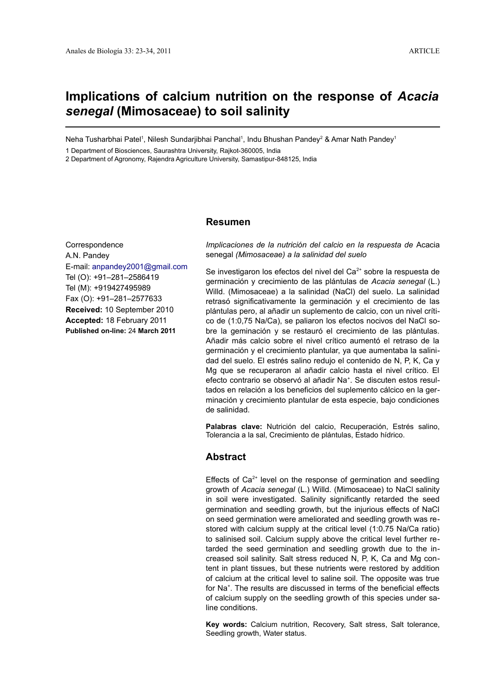# **Implications of calcium nutrition on the response of** *Acacia senegal* **(Mimosaceae) to soil salinity**

Neha Tusharbhai Patel<sup>1</sup>, Nilesh Sundarjibhai Panchal<sup>1</sup>, Indu Bhushan Pandey<sup>2</sup> & Amar Nath Pandey<sup>1</sup>

1 Department of Biosciences, Saurashtra University, Rajkot-360005, India

2 Department of Agronomy, Rajendra Agriculture University, Samastipur-848125, India

# **Resumen**

**Correspondence** A.N. Pandey E-mail: [anpandey2001@gmail.com](mailto:anpandey2001@gmail.com) Tel (O): +91–281–2586419 Tel (M): +919427495989 Fax (O): +91–281–2577633 **Received:** 10 September 2010 **Accepted:** 18 February 2011 **Published on-line:** 24 **March 2011**

*Implicaciones de la nutrición del calcio en la respuesta de* Acacia senegal *(Mimosaceae) a la salinidad del suelo*

Se investigaron los efectos del nivel del Ca $2+$  sobre la respuesta de germinación y crecimiento de las plántulas de *Acacia senegal* (L.) Willd. (Mimosaceae) a la salinidad (NaCl) del suelo. La salinidad retrasó significativamente la germinación y el crecimiento de las plántulas pero, al añadir un suplemento de calcio, con un nivel crítico de (1:0,75 Na/Ca), se paliaron los efectos nocivos del NaCl sobre la geminación y se restauró el crecimiento de las plántulas. Añadir más calcio sobre el nivel crítico aumentó el retraso de la germinación y el crecimiento plantular, ya que aumentaba la salinidad del suelo. El estrés salino redujo el contenido de N, P, K, Ca y Mg que se recuperaron al añadir calcio hasta el nivel crítico. El efecto contrario se observó al añadir Na<sup>+</sup>. Se discuten estos resultados en relación a los beneficios del suplemento cálcico en la germinación y crecimiento plantular de esta especie, bajo condiciones de salinidad.

**Palabras clave:** Nutrición del calcio, Recuperación, Estrés salino, Tolerancia a la sal, Crecimiento de plántulas, Estado hídrico.

# **Abstract**

Effects of  $Ca<sup>2+</sup>$  level on the response of germination and seedling growth of *Acacia senegal* (L.) Willd. (Mimosaceae) to NaCl salinity in soil were investigated. Salinity significantly retarded the seed germination and seedling growth, but the injurious effects of NaCl on seed germination were ameliorated and seedling growth was restored with calcium supply at the critical level (1:0.75 Na/Ca ratio) to salinised soil. Calcium supply above the critical level further retarded the seed germination and seedling growth due to the increased soil salinity. Salt stress reduced N, P, K, Ca and Mg content in plant tissues, but these nutrients were restored by addition of calcium at the critical level to saline soil. The opposite was true for Na<sup>+</sup>. The results are discussed in terms of the beneficial effects of calcium supply on the seedling growth of this species under saline conditions.

**Key words:** Calcium nutrition, Recovery, Salt stress, Salt tolerance, Seedling growth, Water status.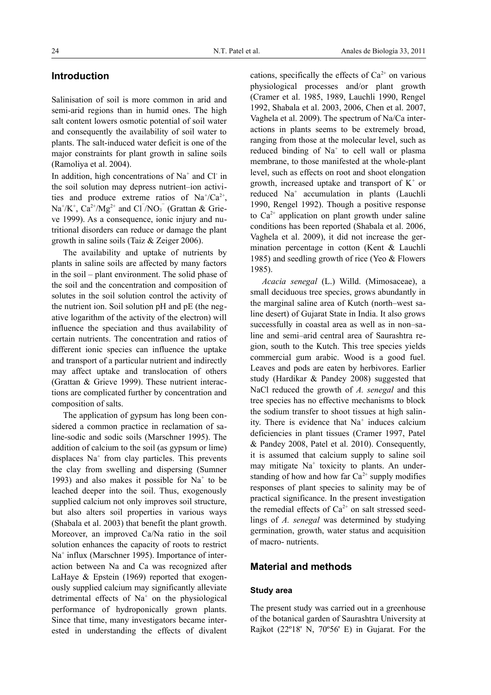# **Introduction**

Salinisation of soil is more common in arid and semi-arid regions than in humid ones. The high salt content lowers osmotic potential of soil water and consequently the availability of soil water to plants. The salt-induced water deficit is one of the major constraints for plant growth in saline soils (Ramoliya et al. 2004).

In addition, high concentrations of  $Na<sup>+</sup>$  and Cl in the soil solution may depress nutrient–ion activities and produce extreme ratios of  $Na^+/Ca^{2+}$ ,  $Na^{\dagger}/K^{\dagger}$ ,  $Ca^{2\dagger}/Mg^{2\dagger}$  and  $Cl^{\dagger}/NO_3^{\dagger}$  (Grattan & Grieve 1999). As a consequence, ionic injury and nutritional disorders can reduce or damage the plant growth in saline soils (Taiz & Zeiger 2006).

The availability and uptake of nutrients by plants in saline soils are affected by many factors in the soil – plant environment. The solid phase of the soil and the concentration and composition of solutes in the soil solution control the activity of the nutrient ion. Soil solution pH and pE (the negative logarithm of the activity of the electron) will influence the speciation and thus availability of certain nutrients. The concentration and ratios of different ionic species can influence the uptake and transport of a particular nutrient and indirectly may affect uptake and translocation of others (Grattan & Grieve 1999). These nutrient interactions are complicated further by concentration and composition of salts.

The application of gypsum has long been considered a common practice in reclamation of saline-sodic and sodic soils (Marschner 1995). The addition of calcium to the soil (as gypsum or lime) displaces Na<sup>+</sup> from clay particles. This prevents the clay from swelling and dispersing (Sumner 1993) and also makes it possible for  $Na<sup>+</sup>$  to be leached deeper into the soil. Thus, exogenously supplied calcium not only improves soil structure, but also alters soil properties in various ways (Shabala et al. 2003) that benefit the plant growth. Moreover, an improved Ca/Na ratio in the soil solution enhances the capacity of roots to restrict Na<sup>+</sup> influx (Marschner 1995). Importance of interaction between Na and Ca was recognized after LaHaye & Epstein (1969) reported that exogenously supplied calcium may significantly alleviate detrimental effects of  $Na<sup>+</sup>$  on the physiological performance of hydroponically grown plants. Since that time, many investigators became interested in understanding the effects of divalent cations, specifically the effects of  $Ca<sup>2+</sup>$  on various physiological processes and/or plant growth (Cramer et al. 1985, 1989, Lauchli 1990, Rengel 1992, Shabala et al. 2003, 2006, Chen et al. 2007, Vaghela et al. 2009). The spectrum of Na/Ca interactions in plants seems to be extremely broad, ranging from those at the molecular level, such as reduced binding of Na<sup>+</sup> to cell wall or plasma membrane, to those manifested at the whole-plant level, such as effects on root and shoot elongation growth, increased uptake and transport of  $K^+$  or reduced Na<sup>+</sup> accumulation in plants (Lauchli 1990, Rengel 1992). Though a positive response to  $Ca^{2+}$  application on plant growth under saline conditions has been reported (Shabala et al. 2006, Vaghela et al. 2009), it did not increase the germination percentage in cotton (Kent & Lauchli 1985) and seedling growth of rice (Yeo & Flowers 1985).

*Acacia senegal* (L.) Willd. (Mimosaceae), a small deciduous tree species, grows abundantly in the marginal saline area of Kutch (north–west saline desert) of Gujarat State in India. It also grows successfully in coastal area as well as in non–saline and semi–arid central area of Saurashtra region, south to the Kutch. This tree species yields commercial gum arabic. Wood is a good fuel. Leaves and pods are eaten by herbivores. Earlier study (Hardikar & Pandey 2008) suggested that NaCl reduced the growth of *A. senegal* and this tree species has no effective mechanisms to block the sodium transfer to shoot tissues at high salinity. There is evidence that Na<sup>+</sup> induces calcium deficiencies in plant tissues (Cramer 1997, Patel & Pandey 2008, Patel et al. 2010). Consequently, it is assumed that calcium supply to saline soil may mitigate Na<sup>+</sup> toxicity to plants. An understanding of how and how far  $Ca^{2+}$  supply modifies responses of plant species to salinity may be of practical significance. In the present investigation the remedial effects of  $Ca^{2+}$  on salt stressed seedlings of *A. senegal* was determined by studying germination, growth, water status and acquisition of macro- nutrients.

# **Material and methods**

#### **Study area**

The present study was carried out in a greenhouse of the botanical garden of Saurashtra University at Rajkot (22º18' N, 70º56' E) in Gujarat. For the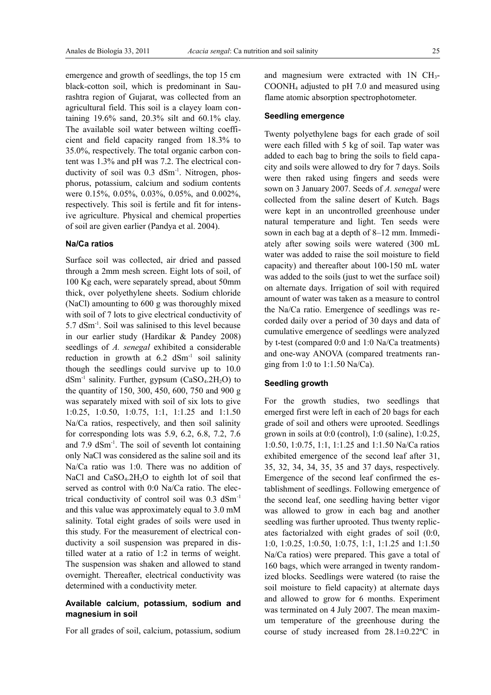emergence and growth of seedlings, the top 15 cm black-cotton soil, which is predominant in Saurashtra region of Gujarat, was collected from an agricultural field. This soil is a clayey loam containing 19.6% sand, 20.3% silt and 60.1% clay. The available soil water between wilting coefficient and field capacity ranged from 18.3% to 35.0%, respectively. The total organic carbon content was 1.3% and pH was 7.2. The electrical conductivity of soil was 0.3 dSm<sup>-1</sup>. Nitrogen, phosphorus, potassium, calcium and sodium contents were 0.15%, 0.05%, 0.03%, 0.05%, and 0.002%, respectively. This soil is fertile and fit for intensive agriculture. Physical and chemical properties of soil are given earlier (Pandya et al. 2004).

#### **Na/Ca ratios**

Surface soil was collected, air dried and passed through a 2mm mesh screen. Eight lots of soil, of 100 Kg each, were separately spread, about 50mm thick, over polyethylene sheets. Sodium chloride (NaCl) amounting to 600 g was thoroughly mixed with soil of 7 lots to give electrical conductivity of 5.7 dSm-1. Soil was salinised to this level because in our earlier study (Hardikar & Pandey 2008) seedlings of *A. senegal* exhibited a considerable reduction in growth at  $6.2$  dSm<sup>-1</sup> soil salinity though the seedlings could survive up to 10.0  $dSm<sup>-1</sup>$  salinity. Further, gypsum (CaSO<sub>4</sub>.2H<sub>2</sub>O) to the quantity of 150, 300, 450, 600, 750 and 900 g was separately mixed with soil of six lots to give 1:0.25, 1:0.50, 1:0.75, 1:1, 1:1.25 and 1:1.50 Na/Ca ratios, respectively, and then soil salinity for corresponding lots was 5.9, 6.2, 6.8, 7.2, 7.6 and 7.9 dSm-1. The soil of seventh lot containing only NaCl was considered as the saline soil and its Na/Ca ratio was 1:0. There was no addition of NaCl and  $CaSO<sub>4</sub>$ .2H<sub>2</sub>O to eighth lot of soil that served as control with 0:0 Na/Ca ratio. The electrical conductivity of control soil was 0.3 dSm-1 and this value was approximately equal to 3.0 mM salinity. Total eight grades of soils were used in this study. For the measurement of electrical conductivity a soil suspension was prepared in distilled water at a ratio of 1:2 in terms of weight. The suspension was shaken and allowed to stand overnight. Thereafter, electrical conductivity was determined with a conductivity meter.

#### **Available calcium, potassium, sodium and magnesium in soil**

For all grades of soil, calcium, potassium, sodium

and magnesium were extracted with 1N CH<sub>3</sub>-COONH4 adjusted to pH 7.0 and measured using flame atomic absorption spectrophotometer.

# **Seedling emergence**

Twenty polyethylene bags for each grade of soil were each filled with 5 kg of soil. Tap water was added to each bag to bring the soils to field capacity and soils were allowed to dry for 7 days. Soils were then raked using fingers and seeds were sown on 3 January 2007. Seeds of *A. senegal* were collected from the saline desert of Kutch. Bags were kept in an uncontrolled greenhouse under natural temperature and light. Ten seeds were sown in each bag at a depth of 8–12 mm. Immediately after sowing soils were watered (300 mL water was added to raise the soil moisture to field capacity) and thereafter about 100-150 mL water was added to the soils (just to wet the surface soil) on alternate days. Irrigation of soil with required amount of water was taken as a measure to control the Na/Ca ratio. Emergence of seedlings was recorded daily over a period of 30 days and data of cumulative emergence of seedlings were analyzed by t-test (compared 0:0 and 1:0 Na/Ca treatments) and one-way ANOVA (compared treatments ranging from 1:0 to 1:1.50 Na/Ca).

## **Seedling growth**

For the growth studies, two seedlings that emerged first were left in each of 20 bags for each grade of soil and others were uprooted. Seedlings grown in soils at 0:0 (control), 1:0 (saline), 1:0.25, 1:0.50, 1:0.75, 1:1, 1:1.25 and 1:1.50 Na/Ca ratios exhibited emergence of the second leaf after 31, 35, 32, 34, 34, 35, 35 and 37 days, respectively. Emergence of the second leaf confirmed the establishment of seedlings. Following emergence of the second leaf, one seedling having better vigor was allowed to grow in each bag and another seedling was further uprooted. Thus twenty replicates factorialzed with eight grades of soil (0:0, 1:0, 1:0.25, 1:0.50, 1:0.75, 1:1, 1:1.25 and 1:1.50 Na/Ca ratios) were prepared. This gave a total of 160 bags, which were arranged in twenty randomized blocks. Seedlings were watered (to raise the soil moisture to field capacity) at alternate days and allowed to grow for 6 months. Experiment was terminated on 4 July 2007. The mean maximum temperature of the greenhouse during the course of study increased from 28.1±0.22ºC in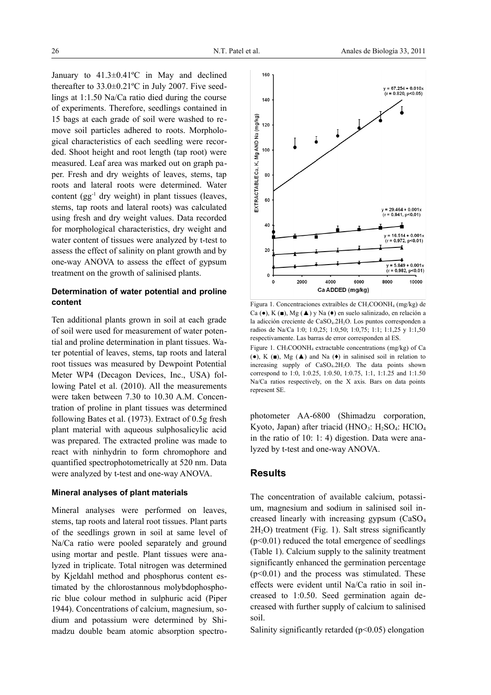January to 41.3±0.41ºC in May and declined thereafter to 33.0±0.21ºC in July 2007. Five seedlings at 1:1.50 Na/Ca ratio died during the course of experiments. Therefore, seedlings contained in 15 bags at each grade of soil were washed to remove soil particles adhered to roots. Morphological characteristics of each seedling were recorded. Shoot height and root length (tap root) were measured. Leaf area was marked out on graph paper. Fresh and dry weights of leaves, stems, tap roots and lateral roots were determined. Water content  $(gg^{-1}$  dry weight) in plant tissues (leaves, stems, tap roots and lateral roots) was calculated using fresh and dry weight values. Data recorded for morphological characteristics, dry weight and water content of tissues were analyzed by t-test to assess the effect of salinity on plant growth and by one-way ANOVA to assess the effect of gypsum treatment on the growth of salinised plants.

#### **Determination of water potential and proline content**

Ten additional plants grown in soil at each grade of soil were used for measurement of water potential and proline determination in plant tissues. Water potential of leaves, stems, tap roots and lateral root tissues was measured by Dewpoint Potential Meter WP4 (Decagon Devices, Inc., USA) following Patel et al. (2010). All the measurements were taken between 7.30 to 10.30 A.M. Concentration of proline in plant tissues was determined following Bates et al. (1973). Extract of 0.5g fresh plant material with aqueous sulphosalicylic acid was prepared. The extracted proline was made to react with ninhydrin to form chromophore and quantified spectrophotometrically at 520 nm. Data were analyzed by t-test and one-way ANOVA.

#### **Mineral analyses of plant materials**

Mineral analyses were performed on leaves, stems, tap roots and lateral root tissues. Plant parts of the seedlings grown in soil at same level of Na/Ca ratio were pooled separately and ground using mortar and pestle. Plant tissues were analyzed in triplicate. Total nitrogen was determined by Kjeldahl method and phosphorus content estimated by the chlorostannous molybdophosphoric blue colour method in sulphuric acid (Piper 1944). Concentrations of calcium, magnesium, sodium and potassium were determined by Shimadzu double beam atomic absorption spectro-



Figura 1. Concentraciones extraíbles de CH3COONH4 (mg/kg) de Ca (●), K (■), Mg (▲) y Na (♦) en suelo salinizado, en relación a la adicción creciente de CaSO<sub>4</sub>.2H<sub>2</sub>O. Los puntos corresponden a radios de Na/Ca 1:0; 1:0,25; 1:0,50; 1:0,75; 1:1; 1:1,25 y 1:1,50 respectivamente. Las barras de error corresponden al ES.

Figure 1. CH<sub>3</sub>COONH<sub>4</sub> extractable concentrations (mg/kg) of Ca ( $\bullet$ ), K ( $\bullet$ ), Mg ( $\blacktriangle$ ) and Na ( $\bullet$ ) in salinised soil in relation to increasing supply of CaSO4.2H2O. The data points shown correspond to 1:0, 1:0.25, 1:0.50, 1:0.75, 1:1, 1:1.25 and 1:1.50 Na/Ca ratios respectively, on the X axis. Bars on data points represent SE.

photometer AA-6800 (Shimadzu corporation, Kyoto, Japan) after triacid (HNO<sub>3</sub>: H<sub>2</sub>SO<sub>4</sub>: HClO<sub>4</sub> in the ratio of 10: 1: 4) digestion. Data were analyzed by t-test and one-way ANOVA.

### **Results**

The concentration of available calcium, potassium, magnesium and sodium in salinised soil increased linearly with increasing gypsum (CaSO<sup>4</sup>  $2H<sub>2</sub>O$ ) treatment (Fig. 1). Salt stress significantly  $(p<0.01)$  reduced the total emergence of seedlings (Table 1). Calcium supply to the salinity treatment significantly enhanced the germination percentage  $(p<0.01)$  and the process was stimulated. These effects were evident until Na/Ca ratio in soil increased to 1:0.50. Seed germination again decreased with further supply of calcium to salinised soil.

Salinity significantly retarded  $(p<0.05)$  elongation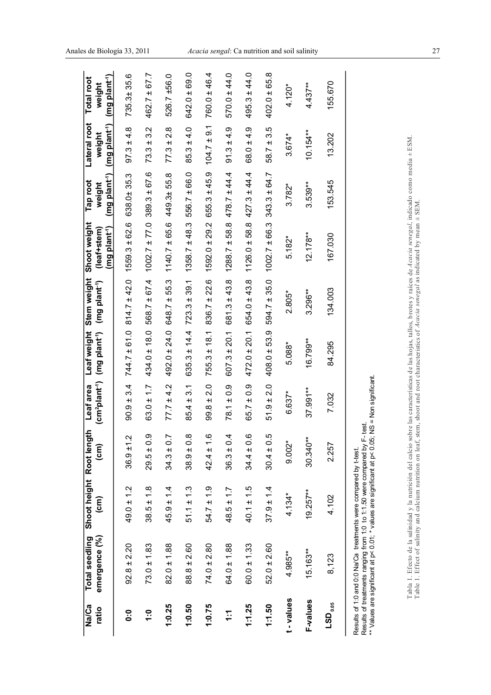| Na/Ca                    | <b>Total seedling</b> | Shoot height Root length |                      | Leaf area      | Leaf weight                                                      | Stem weight                   | Shoot weight                                        | Tap root                            | Lateral root                        | <b>Total root</b>                   |
|--------------------------|-----------------------|--------------------------|----------------------|----------------|------------------------------------------------------------------|-------------------------------|-----------------------------------------------------|-------------------------------------|-------------------------------------|-------------------------------------|
| ratio                    | emergence (%)         | $\widehat{\epsilon}$     | $\widehat{\epsilon}$ |                | (cm <sup>2</sup> plant <sup>-1</sup> ) (mg plant <sup>-1</sup> ) | (mg plant <sup>-1</sup> )     | (mg plant <sup>-1</sup> )<br>(leaf+stem)            | (mg plant <sup>-1</sup> )<br>weight | (mg plant <sup>-1</sup> )<br>weight | (mg plant <sup>-1</sup> )<br>weight |
| ို                       | $92.8 \pm 2.20$       | $49.0 \pm 1.2$           | $36.9 \pm 1.2$       | $90.9 \pm 3.4$ |                                                                  | $744.7 \pm 61.0$ 814.7 ± 42.0 | $1559.3 \pm 62.6$                                   | 638.0±35.3                          | $97.3 \pm 4.8$                      | 735.3±35.6                          |
| $\frac{0}{1}$            | $73.0 \pm 1.83$       | $38.5 \pm 1.8$           | $29.5 \pm 0.9$       | $63.0 \pm 1.7$ | $434.0 \pm 18.0$                                                 |                               | $568.7 \pm 67.4$ 1002.7 $\pm$ 77.0 389.3 $\pm$ 67.6 |                                     | $73.3 \pm 3.2$                      | $462.7 \pm 67.7$                    |
| 1:0.25                   | $82.0 \pm 1.88$       | $45.9 \pm 1.4$           | r<br>$34.3 \pm 0.$   | $77.7 \pm 4.2$ | $492.0 \pm 24.0$                                                 | $648.7 \pm 55.3$              | $1140.7 \pm 65.6$                                   | 449.3±55.8                          | $77.3 \pm 2.8$                      | 526.7 ±56.0                         |
| 1:0.50                   | $88.8 \pm 2.60$       | $51.1 \pm 1.3$           | $38.9 \pm 0.8$       | $85.4 \pm 3.1$ | $635.3 \pm 14.4$                                                 | $723.3 \pm 39.1$              | $1358.7 \pm 48.3$                                   | $556.7 \pm 66.0$                    | $85.3 \pm 4.0$                      | $642.0 \pm 69.0$                    |
| 1:0.75                   | $74.0 \pm 2.80$       | $54.7 \pm 1.9$           | $42.4 \pm 1.6$       | $99.8 \pm 2.0$ | $755.3 \pm 18.1$                                                 | $836.7 \pm 22.6$              | $1592.0 \pm 29.2$                                   | $655.3 \pm 45.9$                    | $104.7 \pm 9.1$                     | $760.0 \pm 46.4$                    |
| $\ddot{.}$               | $64.0 \pm 1.88$       | $48.5 \pm 1.7$           | $36.3 \pm 0.4$       | $78.1 \pm 0.9$ | $607.3 \pm 20.1$                                                 | $681.3 \pm 43.8$              | $1288.7 \pm 58.8$ 478.7 ± 44.4                      |                                     | $91.3 \pm 4.9$                      | $570.0 \pm 44.0$                    |
| 1:1.25                   | $60.0 \pm 1.33$       | $40.1 \pm 1.5$           | $34.4 \pm 0.6$       | $65.7 \pm 0.9$ | $472.0 \pm 20.1$                                                 | $654.0 \pm 43.8$              | $1126.0 \pm 58.8$ 427.3 ± 44.4                      |                                     | $68.0 \pm 4.9$                      | $495.3 \pm 44.0$                    |
| 1:1.50                   | $52.0 \pm 2.60$       | $37.9 \pm 1.4$           | $30.4 \pm 0.5$       | $51.9 \pm 2.0$ | $408.0 \pm 53.9$                                                 | $594.7 \pm 35.0$              | $1002.7 \pm 66.3$                                   | $343.3 \pm 64.7$                    | $58.7 \pm 3.5$                      | $402.0 \pm 65.8$                    |
| t-values                 | 4.985**               | $4.134*$                 | $9.002*$             | $6.637*$       | 5.088*                                                           | $2.805*$                      | $5.182*$                                            | $3.782*$                            | $3.674*$                            | $4.120*$                            |
| F-values                 | $15.163***$           | $19.257***$              | $30.340***$          | $37.991***$    | $16.799***$                                                      | $3.296***$                    | $12.178***$                                         | $3.539**$                           | $10.154**$                          | $4.437***$                          |
| $\mathsf{LSD}_{_{0.05}}$ | 8,123                 | 4.102                    | 2.257                | 7.032          | 84.295                                                           | 134.003                       | 167.030                                             | 153.545                             | 13.202                              | 155.670                             |
|                          |                       |                          |                      |                |                                                                  |                               |                                                     |                                     |                                     |                                     |

Results of 1:0 and 0:0 Na/Ca treatments were compared by t-test.<br>Results of treatments ranging from 1:0 to 1:1.50 were compared by F- test.<br>\*\* Values are significant at p< 0.01; \* values are significant at p< 0.05; NS = No Results of 1:0 and 0:0 Na/Ca\_treatments were compared by t-test.<br>Results of treatments ranging from 1:0\_to 1:1.50 were compared by F- test.<br>\*\* Values are significant at p< 0.01; \* values are significant at p< 0.05; NS = No

Tabla 1. Efecto de la salinidad y la nutrición del calcio sobre las características de las hojas, tallos, brotes y raíces de Acacia senegal, indicado como media ± ESM.<br>Table 1. Effect of salinity and calcium nutrition on l Tabla 1. Efecto de la salinidad y la nutrición del calcio sobre las características de las hojas, tallos, brotes y raíces de *Acacia senegal*, indicado como media ± ESM.<br>Table 1. Effect of salinity and calcium nutrition on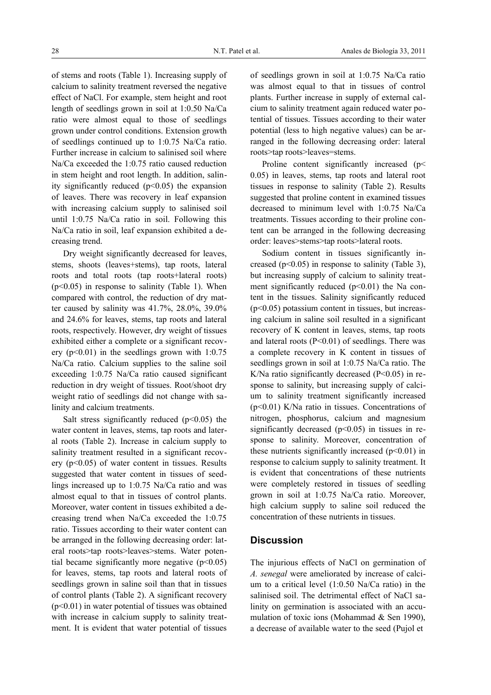of stems and roots (Table 1). Increasing supply of calcium to salinity treatment reversed the negative effect of NaCl. For example, stem height and root length of seedlings grown in soil at 1:0.50 Na/Ca ratio were almost equal to those of seedlings grown under control conditions. Extension growth of seedlings continued up to 1:0.75 Na/Ca ratio. Further increase in calcium to salinised soil where Na/Ca exceeded the 1:0.75 ratio caused reduction in stem height and root length. In addition, salinity significantly reduced  $(p<0.05)$  the expansion of leaves. There was recovery in leaf expansion with increasing calcium supply to salinised soil until 1:0.75 Na/Ca ratio in soil. Following this Na/Ca ratio in soil, leaf expansion exhibited a decreasing trend.

Dry weight significantly decreased for leaves, stems, shoots (leaves+stems), tap roots, lateral roots and total roots (tap roots+lateral roots)  $(p<0.05)$  in response to salinity (Table 1). When compared with control, the reduction of dry matter caused by salinity was 41.7%, 28.0%, 39.0% and 24.6% for leaves, stems, tap roots and lateral roots, respectively. However, dry weight of tissues exhibited either a complete or a significant recovery  $(p<0.01)$  in the seedlings grown with 1:0.75 Na/Ca ratio. Calcium supplies to the saline soil exceeding 1:0.75 Na/Ca ratio caused significant reduction in dry weight of tissues. Root/shoot dry weight ratio of seedlings did not change with salinity and calcium treatments.

Salt stress significantly reduced  $(p<0.05)$  the water content in leaves, stems, tap roots and lateral roots (Table 2). Increase in calcium supply to salinity treatment resulted in a significant recovery  $(p<0.05)$  of water content in tissues. Results suggested that water content in tissues of seedlings increased up to 1:0.75 Na/Ca ratio and was almost equal to that in tissues of control plants. Moreover, water content in tissues exhibited a decreasing trend when Na/Ca exceeded the 1:0.75 ratio. Tissues according to their water content can be arranged in the following decreasing order: lateral roots>tap roots>leaves>stems. Water potential became significantly more negative  $(p<0.05)$ for leaves, stems, tap roots and lateral roots of seedlings grown in saline soil than that in tissues of control plants (Table 2). A significant recovery  $(p<0.01)$  in water potential of tissues was obtained with increase in calcium supply to salinity treatment. It is evident that water potential of tissues

of seedlings grown in soil at 1:0.75 Na/Ca ratio was almost equal to that in tissues of control plants. Further increase in supply of external calcium to salinity treatment again reduced water potential of tissues. Tissues according to their water potential (less to high negative values) can be arranged in the following decreasing order: lateral roots>tap roots>leaves=stems.

Proline content significantly increased (p 0.05) in leaves, stems, tap roots and lateral root tissues in response to salinity (Table 2). Results suggested that proline content in examined tissues decreased to minimum level with 1:0.75 Na/Ca treatments. Tissues according to their proline content can be arranged in the following decreasing order: leaves>stems>tap roots>lateral roots.

Sodium content in tissues significantly increased ( $p<0.05$ ) in response to salinity (Table 3), but increasing supply of calcium to salinity treatment significantly reduced  $(p<0.01)$  the Na content in the tissues. Salinity significantly reduced  $(p<0.05)$  potassium content in tissues, but increasing calcium in saline soil resulted in a significant recovery of K content in leaves, stems, tap roots and lateral roots  $(P<0.01)$  of seedlings. There was a complete recovery in K content in tissues of seedlings grown in soil at 1:0.75 Na/Ca ratio. The K/Na ratio significantly decreased  $(P<0.05)$  in response to salinity, but increasing supply of calcium to salinity treatment significantly increased (p<0.01) K/Na ratio in tissues. Concentrations of nitrogen, phosphorus, calcium and magnesium significantly decreased  $(p<0.05)$  in tissues in response to salinity. Moreover, concentration of these nutrients significantly increased  $(p<0.01)$  in response to calcium supply to salinity treatment. It is evident that concentrations of these nutrients were completely restored in tissues of seedling grown in soil at 1:0.75 Na/Ca ratio. Moreover, high calcium supply to saline soil reduced the concentration of these nutrients in tissues.

# **Discussion**

The injurious effects of NaCl on germination of *A. senegal* were ameliorated by increase of calcium to a critical level (1:0.50 Na/Ca ratio) in the salinised soil. The detrimental effect of NaCl salinity on germination is associated with an accumulation of toxic ions (Mohammad & Sen 1990), a decrease of available water to the seed (Pujol et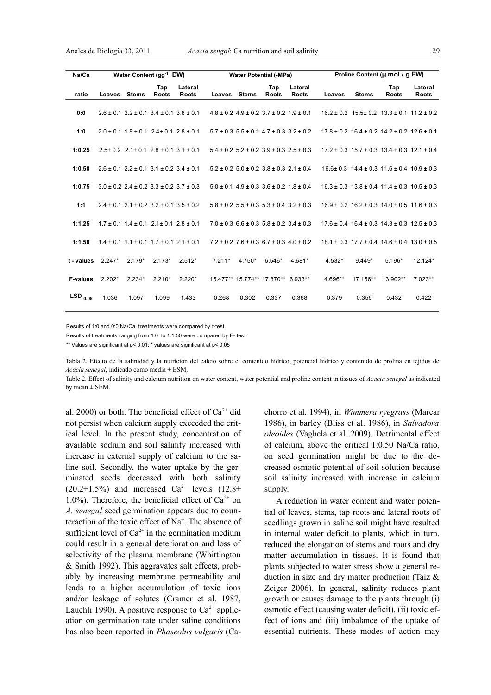| Na/Ca           | Water Content (gg <sup>-1</sup> DW) |              |                                                         |                                                         |          | <b>Water Potential (-MPa)</b> |                                                         |                         |         | Proline Content (u mol / g FW) |                                                             |                  |
|-----------------|-------------------------------------|--------------|---------------------------------------------------------|---------------------------------------------------------|----------|-------------------------------|---------------------------------------------------------|-------------------------|---------|--------------------------------|-------------------------------------------------------------|------------------|
| ratio           | Leaves                              | <b>Stems</b> | Tap<br><b>Roots</b>                                     | Lateral<br><b>Roots</b>                                 | Leaves   | <b>Stems</b>                  | Tap<br>Roots                                            | Lateral<br><b>Roots</b> | Leaves  | <b>Stems</b>                   | Tap<br>Roots                                                | Lateral<br>Roots |
| 0:0             |                                     |              | $2.6 \pm 0.1$ $2.2 \pm 0.1$ $3.4 \pm 0.1$ $3.8 \pm 0.1$ |                                                         |          |                               | $4.8 \pm 0.2$ 4.9 $\pm$ 0.2 3.7 $\pm$ 0.2 1.9 $\pm$ 0.1 |                         |         |                                | $16.2 \pm 0.2$ $15.5 \pm 0.2$ $13.3 \pm 0.1$ $11.2 \pm 0.2$ |                  |
| 1:0             |                                     |              | $2.0 \pm 0.1$ 1.8 $\pm$ 0.1 2.4 $\pm$ 0.1 2.8 $\pm$ 0.1 |                                                         |          |                               | $5.7 \pm 0.3$ $5.5 \pm 0.1$ $4.7 \pm 0.3$ $3.2 \pm 0.2$ |                         |         |                                | $17.8 \pm 0.2$ 16.4 $\pm$ 0.2 14.2 $\pm$ 0.2 12.6 $\pm$ 0.1 |                  |
| 1:0.25          |                                     |              | $2.5 \pm 0.2$ 2.1 ± 0.1 2.8 $\pm$ 0.1 3.1 $\pm$ 0.1     |                                                         |          |                               | $5.4 \pm 0.2$ $5.2 \pm 0.2$ $3.9 \pm 0.3$ $2.5 \pm 0.3$ |                         |         |                                | $17.2 \pm 0.3$ 15.7 $\pm$ 0.3 13.4 $\pm$ 0.3 12.1 $\pm$ 0.4 |                  |
| 1:0.50          |                                     |              | $2.6 \pm 0.1$ $2.2 \pm 0.1$ $3.1 \pm 0.2$ $3.4 \pm 0.1$ |                                                         |          |                               | $5.2 \pm 0.2$ $5.0 \pm 0.2$ $3.8 \pm 0.3$ $2.1 \pm 0.4$ |                         |         |                                | $16.6 \pm 0.3$ $14.4 \pm 0.3$ $11.6 \pm 0.4$ $10.9 \pm 0.3$ |                  |
| 1:0.75          |                                     |              | $3.0 \pm 0.2$ 2.4 $\pm$ 0.2 3.3 $\pm$ 0.2 3.7 $\pm$ 0.3 |                                                         |          |                               | $5.0 \pm 0.1$ 4.9 $\pm$ 0.3 3.6 $\pm$ 0.2 1.8 $\pm$ 0.4 |                         |         |                                | $16.3 \pm 0.3$ $13.8 \pm 0.4$ $11.4 \pm 0.3$ $10.5 \pm 0.3$ |                  |
| 1:1             |                                     |              |                                                         | $2.4 \pm 0.1$ $2.1 \pm 0.2$ $3.2 \pm 0.1$ $3.5 \pm 0.2$ |          |                               | $5.8 \pm 0.2$ $5.5 \pm 0.3$ $5.3 \pm 0.4$ $3.2 \pm 0.3$ |                         |         |                                | $16.9 \pm 0.2$ $16.2 \pm 0.3$ $14.0 \pm 0.5$ $11.6 \pm 0.3$ |                  |
| 1:1.25          |                                     |              | $1.7 \pm 0.1$ $1.4 \pm 0.1$ $2.1 \pm 0.1$ $2.8 \pm 0.1$ |                                                         |          |                               | $7.0 \pm 0.3$ 6.6 $\pm$ 0.3 5.8 $\pm$ 0.2 3.4 $\pm$ 0.3 |                         |         |                                | $17.6 \pm 0.4$ 16.4 $\pm$ 0.3 14.3 $\pm$ 0.3 12.5 $\pm$ 0.3 |                  |
| 1:1.50          |                                     |              | $1.4 \pm 0.1$ $1.1 \pm 0.1$ $1.7 \pm 0.1$ $2.1 \pm 0.1$ |                                                         |          |                               | $7.2 \pm 0.2$ 7.6 $\pm$ 0.3 6.7 $\pm$ 0.3 4.0 $\pm$ 0.2 |                         |         |                                | $18.1 \pm 0.3$ $17.7 \pm 0.4$ $14.6 \pm 0.4$ $13.0 \pm 0.5$ |                  |
| t - values      | $2.247*$                            | $2.179*$     | $2.173*$                                                | $2.512*$                                                | $7.211*$ | $4.750*$                      | $6.546*$                                                | 4.681*                  | 4.532*  | $9.449*$                       | 5.196*                                                      | 12.124*          |
| <b>F-values</b> | $2.202*$                            | $2.234*$     | $2.210*$                                                | $2.220*$                                                |          |                               | 15.477** 15.774** 17.870** 6.933**                      |                         | 4.696** | 17.156**                       | 13.902**                                                    | $7.023**$        |
| $LSD_{0.05}$    | 1.036                               | 1.097        | 1.099                                                   | 1.433                                                   | 0.268    | 0.302                         | 0.337                                                   | 0.368                   | 0.379   | 0.356                          | 0.432                                                       | 0.422            |
|                 |                                     |              |                                                         |                                                         |          |                               |                                                         |                         |         |                                |                                                             |                  |

Results of 1:0 and 0:0 Na/Ca treatments were compared by t-test.

Results of treatments ranging from 1:0 to 1:1.50 were compared by F- test.

\*\* Values are significant at p< 0.01; \* values are significant at p< 0.05

Tabla 2. Efecto de la salinidad y la nutrición del calcio sobre el contenido hídrico, potencial hídrico y contenido de prolina en tejidos de *Acacia senegal*, indicado como media ± ESM.

Table 2. Effect of salinity and calcium nutrition on water content, water potential and proline content in tissues of *Acacia senegal* as indicated by mean  $\pm$  SEM.

al. 2000) or both. The beneficial effect of  $Ca^{2+}$  did not persist when calcium supply exceeded the critical level. In the present study, concentration of available sodium and soil salinity increased with increase in external supply of calcium to the saline soil. Secondly, the water uptake by the germinated seeds decreased with both salinity  $(20.2\pm1.5\%)$  and increased Ca<sup>2+</sup> levels  $(12.8\pm$ 1.0%). Therefore, the beneficial effect of  $Ca^{2+}$  on *A. senegal* seed germination appears due to counteraction of the toxic effect of Na<sup>+</sup>. The absence of sufficient level of  $Ca^{2+}$  in the germination medium could result in a general deterioration and loss of selectivity of the plasma membrane (Whittington & Smith 1992). This aggravates salt effects, probably by increasing membrane permeability and leads to a higher accumulation of toxic ions and/or leakage of solutes (Cramer et al. 1987, Lauchli 1990). A positive response to  $Ca^{2+}$  application on germination rate under saline conditions has also been reported in *Phaseolus vulgaris* (Cachorro et al. 1994), in *Wimmera ryegrass* (Marcar 1986), in barley (Bliss et al. 1986), in *Salvadora oleoides* (Vaghela et al. 2009). Detrimental effect of calcium, above the critical 1:0.50 Na/Ca ratio, on seed germination might be due to the decreased osmotic potential of soil solution because soil salinity increased with increase in calcium supply.

A reduction in water content and water potential of leaves, stems, tap roots and lateral roots of seedlings grown in saline soil might have resulted in internal water deficit to plants, which in turn, reduced the elongation of stems and roots and dry matter accumulation in tissues. It is found that plants subjected to water stress show a general reduction in size and dry matter production (Taiz & Zeiger 2006). In general, salinity reduces plant growth or causes damage to the plants through (i) osmotic effect (causing water deficit), (ii) toxic effect of ions and (iii) imbalance of the uptake of essential nutrients. These modes of action may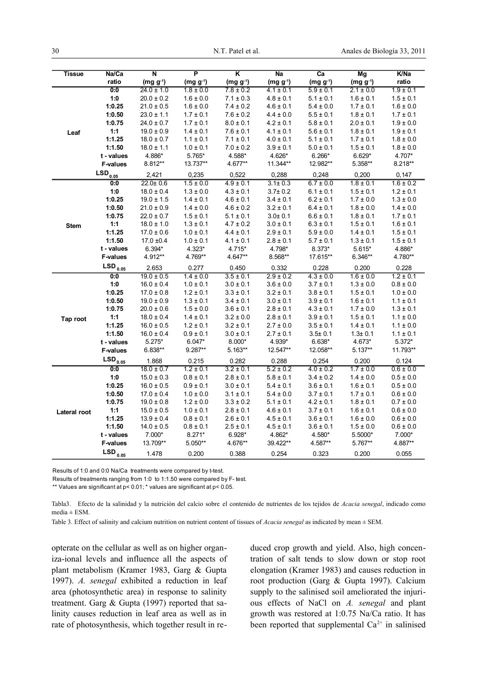| Tissue       | Na/Ca           | $\overline{\mathsf{N}}$ | $\overline{\mathsf{P}}$ | $\overline{\mathsf{K}}$ | Na            | $\overline{ca}$ | Mg            | K/Na          |
|--------------|-----------------|-------------------------|-------------------------|-------------------------|---------------|-----------------|---------------|---------------|
|              | ratio           | $(mg g^{-1})$           | $(mg g-1)$              | $(mg g^{-1})$           | $(mg g^{-1})$ | $(mg g^{-1})$   | $(mg g^{-1})$ | ratio         |
|              | 0:0             | $24.0 \pm 1.0$          | $1.8 \pm 0.0$           | $7.8 \pm 0.2$           | $4.1 \pm 0.1$ | $5.9 \pm 0.1$   | $2.1 \pm 0.0$ | $1.9 \pm 0.1$ |
| Leaf         | 1:0             | $20.0 \pm 0.2$          | $1.6 \pm 0.0$           | $7.1 \pm 0.3$           | $4.8 \pm 0.1$ | $5.1 \pm 0.1$   | $1.6 \pm 0.1$ | $1.5 \pm 0.1$ |
|              | 1:0.25          | $21.0 \pm 0.5$          | $1.6 \pm 0.0$           | $7.4 \pm 0.2$           | $4.6 \pm 0.1$ | $5.4 \pm 0.0$   | $1.7 \pm 0.1$ | $1.6 \pm 0.0$ |
|              | 1:0.50          | $23.0 \pm 1.1$          | $1.7 \pm 0.1$           | $7.6 \pm 0.2$           | $4.4 \pm 0.0$ | $5.5 \pm 0.1$   | $1.8 \pm 0.1$ | $1.7 \pm 0.1$ |
|              | 1:0.75          | $24.0 \pm 0.7$          | $1.7 \pm 0.1$           | $8.0\pm0.1$             | $4.2 \pm 0.1$ | $5.8 \pm 0.1$   | $2.0 \pm 0.1$ | $1.9 \pm 0.0$ |
|              | 1:1             | $19.0 \pm 0.9$          | $1.4 \pm 0.1$           | $7.6 \pm 0.1$           | $4.1 \pm 0.1$ | $5.6 \pm 0.1$   | $1.8 \pm 0.1$ | $1.9 \pm 0.1$ |
|              | 1:1.25          | $18.0 \pm 0.7$          | $1.1 \pm 0.1$           | $7.1 \pm 0.1$           | $4.0 \pm 0.1$ | $5.1 \pm 0.1$   | $1.7 \pm 0.1$ | $1.8 \pm 0.0$ |
|              | 1:1.50          | $18.0 \pm 1.1$          | $1.0 \pm 0.1$           | $7.0 \pm 0.2$           | $3.9 \pm 0.1$ | $5.0 \pm 0.1$   | $1.5 \pm 0.1$ | $1.8 \pm 0.0$ |
|              | t - values      | 4.886*                  | 5.765*                  | 4.588*                  | 4.626*        | $6.266*$        | $6.629*$      | 4.707*        |
|              | <b>F-values</b> | 8.812**                 | 13.737**                | 4.677**                 | 11.344**      | 12.982**        | 5.358**       | 8.218**       |
|              | $LSD_{0.05}$    | 2.421                   | 0,235                   | 0,522                   | 0,288         | 0.248           | 0,200         | 0,147         |
|              | 0:0             | $22.0 \pm 0.6$          | $1.5 \pm 0.0$           | $4.9 \pm 0.1$           | $3.1 \pm 0.3$ | $6.7 \pm 0.0$   | $1.8 \pm 0.1$ | $1.6 \pm 0.2$ |
|              | 1:0             | $18.0 \pm 0.4$          | $1.3 \pm 0.0$           | $4.3 \pm 0.1$           | $3.7 + 0.2$   | $6.1 \pm 0.1$   | $1.5 \pm 0.1$ | $1.2 \pm 0.1$ |
|              | 1:0.25          | $19.0 \pm 1.5$          | $1.4 \pm 0.1$           | $4.6 \pm 0.1$           | $3.4 \pm 0.1$ | $6.2 \pm 0.1$   | $1.7 \pm 0.0$ | $1.3 \pm 0.0$ |
|              | 1:0.50          | $21.0 \pm 0.9$          | $1.4 \pm 0.0$           | $4.6 \pm 0.2$           | $3.2 \pm 0.1$ | $6.4 \pm 0.1$   | $1.8 \pm 0.0$ | $1.4 \pm 0.0$ |
|              | 1:0.75          | $22.0 \pm 0.7$          | $1.5 \pm 0.1$           | $5.1 \pm 0.1$           | $3.0 + 0.1$   | $6.6 \pm 0.1$   | $1.8 \pm 0.1$ | $1.7 \pm 0.1$ |
| <b>Stem</b>  | 1:1             | $18.0 \pm 1.0$          | $1.3 \pm 0.1$           | $4.7 \pm 0.2$           | $3.0 \pm 0.1$ | $6.3 \pm 0.1$   | $1.5 \pm 0.1$ | $1.6 \pm 0.1$ |
|              | 1:1.25          | $17.0 \pm 0.6$          | $1.0 \pm 0.1$           | $4.4 \pm 0.1$           | $2.9 \pm 0.1$ | $5.9 \pm 0.0$   | $1.4 \pm 0.1$ | $1.5 \pm 0.1$ |
|              | 1:1.50          | $17.0 \pm 0.4$          | $1.0 \pm 0.1$           | $4.1 \pm 0.1$           | $2.8 \pm 0.1$ | $5.7 \pm 0.1$   | $1.3 \pm 0.1$ | $1.5 \pm 0.1$ |
|              | t - values      | 6.394*                  | 4.323*                  | 4.715*                  | 4.798*        | 8.373*          | $5.615*$      | 4.886*        |
|              | <b>F-values</b> | 4.912**                 | 4.769**                 | 4.647**                 | $8.568**$     | 17.615**        | $6.346**$     | 4.780**       |
|              | $LSD_{0.05}$    | 2.653                   | 0.277                   | 0.450                   | 0.332         | 0.228           | 0.200         | 0.228         |
|              | 0:0             | $19.0 \pm 0.5$          | $1.4 \pm 0.0$           | $3.5 \pm 0.1$           | $2.9 \pm 0.2$ | $4.3 \pm 0.0$   | $1.6 \pm 0.0$ | $1.2 \pm 0.1$ |
| Tap root     | 1:0             | $16.0 \pm 0.4$          | $1.0 \pm 0.1$           | $3.0 \pm 0.1$           | $3.6 \pm 0.0$ | $3.7 \pm 0.1$   | $1.3 \pm 0.0$ | $0.8 \pm 0.0$ |
|              | 1:0.25          | $17.0 \pm 0.8$          | $1.2 \pm 0.1$           | $3.3 \pm 0.1$           | $3.2 \pm 0.1$ | $3.8 \pm 0.1$   | $1.5 \pm 0.1$ | $1.0 \pm 0.0$ |
|              | 1:0.50          | $19.0 \pm 0.9$          | $1.3 \pm 0.1$           | $3.4 \pm 0.1$           | $3.0 \pm 0.1$ | $3.9 \pm 0.1$   | $1.6 \pm 0.1$ | $1.1 \pm 0.1$ |
|              | 1:0.75          | $20.0 \pm 0.6$          | $1.5 \pm 0.0$           | $3.6 \pm 0.1$           | $2.8 \pm 0.1$ | $4.3 \pm 0.1$   | $1.7 \pm 0.0$ | $1.3 \pm 0.1$ |
|              | 1:1             | $18.0 \pm 0.4$          | $1.4 \pm 0.1$           | $3.2 \pm 0.0$           | $2.8 \pm 0.1$ | $3.9 \pm 0.1$   | $1.5 \pm 0.1$ | $1.1 \pm 0.0$ |
|              | 1:1.25          | $16.0 \pm 0.5$          | $1.2 \pm 0.1$           | $3.2 \pm 0.1$           | $2.7 \pm 0.0$ | $3.5 \pm 0.1$   | $1.4 \pm 0.1$ | $1.1 \pm 0.0$ |
|              | 1:1.50          | $16.0 \pm 0.4$          | $0.9 \pm 0.1$           | $3.0 \pm 0.1$           | $2.7 \pm 0.1$ | $3.5 \pm 0.1$   | $1.3 \pm 0.1$ | $1.1 \pm 0.1$ |
|              | t - values      | $5.275*$                | $6.047*$                | $8.000*$                | 4.939*        | $6.638*$        | 4.673*        | 5.372*        |
|              | <b>F-values</b> | $6.838**$               | 9.287**                 | 5.163**                 | 12.547**      | 12.058**        | $5.137**$     | 11.793**      |
|              | $LSD_{0.05}$    | 1.868                   | 0.215                   | 0.282                   | 0.288         | 0.254           | 0.200         | 0.124         |
|              | 0:0             | $18.0 \pm 0.7$          | $1.2 \pm 0.1$           | $3.2 \pm 0.1$           | $5.2 \pm 0.2$ | $4.0 \pm 0.2$   | $1.7 \pm 0.0$ | $0.6 \pm 0.0$ |
|              | 1:0             | $15.0 \pm 0.3$          | $0.8 \pm 0.1$           | $2.8 \pm 0.1$           | $5.8 \pm 0.1$ | $3.4 \pm 0.2$   | $1.4 \pm 0.0$ | $0.5 \pm 0.0$ |
|              | 1:0.25          | $16.0 \pm 0.5$          | $0.9 \pm 0.1$           | $3.0 \pm 0.1$           | $5.4 \pm 0.1$ | $3.6 \pm 0.1$   | $1.6 \pm 0.1$ | $0.5 \pm 0.0$ |
|              | 1:0.50          | $17.0 \pm 0.4$          | $1.0 \pm 0.0$           | $3.1 \pm 0.1$           | $5.4 \pm 0.0$ | $3.7 \pm 0.1$   | $1.7 \pm 0.1$ | $0.6 \pm 0.0$ |
|              | 1:0.75          | $19.0 \pm 0.8$          | $1.2 \pm 0.0$           | $3.3 \pm 0.2$           | $5.1 \pm 0.1$ | $4.2 \pm 0.1$   | $1.8 \pm 0.1$ | $0.7 \pm 0.0$ |
| Lateral root | 1:1             | $15.0 \pm 0.5$          | $1.0 \pm 0.1$           | $2.8 \pm 0.1$           | $4.6 \pm 0.1$ | $3.7 \pm 0.1$   | $1.6 \pm 0.1$ | $0.6 \pm 0.0$ |
|              | 1:1.25          | $13.9 \pm 0.4$          | $0.8 \pm 0.1$           | $2.6 \pm 0.1$           | $4.5 \pm 0.1$ | $3.6 \pm 0.1$   | $1.6 \pm 0.0$ | $0.6 \pm 0.0$ |
|              | 1:1.50          | $14.0 \pm 0.5$          | $0.8 \pm 0.1$           | $2.5 \pm 0.1$           | $4.5 \pm 0.1$ | $3.6 \pm 0.1$   | $1.5 \pm 0.0$ | $0.6\pm0.0$   |
|              | t - values      | 7.000*                  | $8.271*$                | $6.928*$                | 4.862*        | 4.580*          | 5.5000*       | 7.000*        |
|              | <b>F-values</b> | 13.709**                | 5.050**                 | 4.676**                 | 39.422**      | 4.587**         | 5.767**       | 4.887**       |
|              | $LSD_{0.05}$    | 1.478                   | 0.200                   | 0.388                   | 0.254         | 0.323           | 0.200         | 0.055         |

Results of 1:0 and 0:0 Na/Ca treatments were compared by t-test.

Results of treatments ranging from 1:0 to 1:1.50 were compared by F- test.

\*\* Values are significant at p< 0.01; \* values are significant at p< 0.05.

Tabla3. Efecto de la salinidad y la nutrición del calcio sobre el contenido de nutrientes de los tejidos de *Acacia senegal*, indicado como media  $\pm$  ESM.

Table 3. Effect of salinity and calcium nutrition on nutrient content of tissues of *Acacia senegal* as indicated by mean ± SEM.

opterate on the cellular as well as on higher organiza-ional levels and influence all the aspects of plant metabolism (Kramer 1983, Garg & Gupta 1997). *A. senegal* exhibited a reduction in leaf area (photosynthetic area) in response to salinity treatment. Garg & Gupta (1997) reported that salinity causes reduction in leaf area as well as in rate of photosynthesis, which together result in reduced crop growth and yield. Also, high concentration of salt tends to slow down or stop root elongation (Kramer 1983) and causes reduction in root production (Garg & Gupta 1997). Calcium supply to the salinised soil ameliorated the injurious effects of NaCl on *A. senegal* and plant growth was restored at 1:0.75 Na/Ca ratio. It has been reported that supplemental  $Ca^{2+}$  in salinised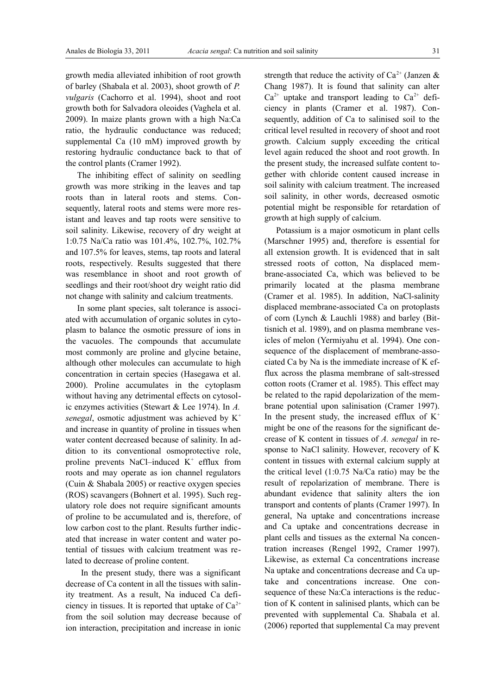growth media alleviated inhibition of root growth of barley (Shabala et al. 2003), shoot growth of *P. vulgaris* (Cachorro et al. 1994), shoot and root growth both for Salvadora oleoides (Vaghela et al. 2009). In maize plants grown with a high Na:Ca ratio, the hydraulic conductance was reduced; supplemental Ca (10 mM) improved growth by restoring hydraulic conductance back to that of the control plants (Cramer 1992).

The inhibiting effect of salinity on seedling growth was more striking in the leaves and tap roots than in lateral roots and stems. Consequently, lateral roots and stems were more resistant and leaves and tap roots were sensitive to soil salinity. Likewise, recovery of dry weight at 1:0.75 Na/Ca ratio was 101.4%, 102.7%, 102.7% and 107.5% for leaves, stems, tap roots and lateral roots, respectively. Results suggested that there was resemblance in shoot and root growth of seedlings and their root/shoot dry weight ratio did not change with salinity and calcium treatments.

In some plant species, salt tolerance is associated with accumulation of organic solutes in cytoplasm to balance the osmotic pressure of ions in the vacuoles. The compounds that accumulate most commonly are proline and glycine betaine, although other molecules can accumulate to high concentration in certain species (Hasegawa et al. 2000). Proline accumulates in the cytoplasm without having any detrimental effects on cytosolic enzymes activities (Stewart & Lee 1974). In *A. senegal*, osmotic adjustment was achieved by K<sup>+</sup> and increase in quantity of proline in tissues when water content decreased because of salinity. In addition to its conventional osmoprotective role, proline prevents NaCl-induced  $K^+$  efflux from roots and may operate as ion channel regulators (Cuin & Shabala 2005) or reactive oxygen species (ROS) scavangers (Bohnert et al. 1995). Such regulatory role does not require significant amounts of proline to be accumulated and is, therefore, of low carbon cost to the plant. Results further indicated that increase in water content and water potential of tissues with calcium treatment was related to decrease of proline content.

 In the present study, there was a significant decrease of Ca content in all the tissues with salinity treatment. As a result, Na induced Ca deficiency in tissues. It is reported that uptake of  $Ca^{2+}$ from the soil solution may decrease because of ion interaction, precipitation and increase in ionic

strength that reduce the activity of  $Ca^{2+}$  (Janzen & Chang 1987). It is found that salinity can alter  $Ca^{2+}$  uptake and transport leading to  $Ca^{2+}$  deficiency in plants (Cramer et al. 1987). Consequently, addition of Ca to salinised soil to the critical level resulted in recovery of shoot and root growth. Calcium supply exceeding the critical level again reduced the shoot and root growth. In the present study, the increased sulfate content together with chloride content caused increase in soil salinity with calcium treatment. The increased soil salinity, in other words, decreased osmotic potential might be responsible for retardation of growth at high supply of calcium.

Potassium is a major osmoticum in plant cells (Marschner 1995) and, therefore is essential for all extension growth. It is evidenced that in salt stressed roots of cotton, Na displaced membrane-associated Ca, which was believed to be primarily located at the plasma membrane (Cramer et al. 1985). In addition, NaCl-salinity displaced membrane-associated Ca on protoplasts of corn (Lynch & Lauchli 1988) and barley (Bittisnich et al. 1989), and on plasma membrane vesicles of melon (Yermiyahu et al. 1994). One consequence of the displacement of membrane-associated Ca by Na is the immediate increase of K efflux across the plasma membrane of salt-stressed cotton roots (Cramer et al. 1985). This effect may be related to the rapid depolarization of the membrane potential upon salinisation (Cramer 1997). In the present study, the increased efflux of  $K^+$ might be one of the reasons for the significant decrease of K content in tissues of *A. senegal* in response to NaCl salinity. However, recovery of K content in tissues with external calcium supply at the critical level (1:0.75 Na/Ca ratio) may be the result of repolarization of membrane. There is abundant evidence that salinity alters the ion transport and contents of plants (Cramer 1997). In general, Na uptake and concentrations increase and Ca uptake and concentrations decrease in plant cells and tissues as the external Na concentration increases (Rengel 1992, Cramer 1997). Likewise, as external Ca concentrations increase Na uptake and concentrations decrease and Ca uptake and concentrations increase. One consequence of these Na:Ca interactions is the reduction of K content in salinised plants, which can be prevented with supplemental Ca. Shabala et al. (2006) reported that supplemental Ca may prevent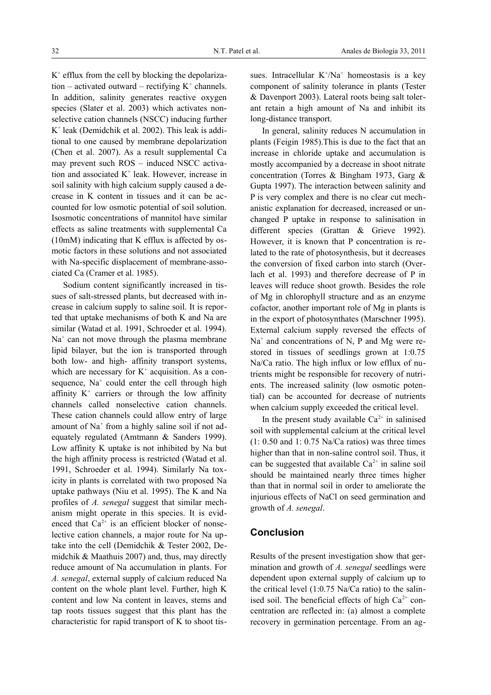K + efflux from the cell by blocking the depolariza $tion - activated$  outward – rectifying  $K^+$  channels. In addition, salinity generates reactive oxygen species (Slater et al. 2003) which activates nonselective cation channels (NSCC) inducing further K + leak (Demidchik et al. 2002). This leak is additional to one caused by membrane depolarization (Chen et al. 2007). As a result supplemental Ca may prevent such ROS – induced NSCC activation and associated K<sup>+</sup> leak. However, increase in soil salinity with high calcium supply caused a decrease in K content in tissues and it can be accounted for low osmotic potential of soil solution. Isosmotic concentrations of mannitol have similar effects as saline treatments with supplemental Ca (10mM) indicating that K efflux is affected by osmotic factors in these solutions and not associated with Na-specific displacement of membrane-associated Ca (Cramer et al. 1985).

Sodium content significantly increased in tissues of salt-stressed plants, but decreased with increase in calcium supply to saline soil. It is reported that uptake mechanisms of both K and Na are similar (Watad et al. 1991, Schroeder et al. 1994). Na<sup>+</sup> can not move through the plasma membrane lipid bilayer, but the ion is transported through both low- and high- affinity transport systems, which are necessary for  $K^+$  acquisition. As a consequence,  $Na<sup>+</sup>$  could enter the cell through high affinity  $K^+$  carriers or through the low affinity channels called nonselective cation channels. These cation channels could allow entry of large amount of Na<sup>+</sup> from a highly saline soil if not adequately regulated (Amtmann & Sanders 1999). Low affinity K uptake is not inhibited by Na but the high affinity process is restricted (Watad et al. 1991, Schroeder et al. 1994). Similarly Na toxicity in plants is correlated with two proposed Na uptake pathways (Niu et al. 1995). The K and Na profiles of *A. senegal* suggest that similar mechanism might operate in this species. It is evidenced that  $Ca^{2+}$  is an efficient blocker of nonselective cation channels, a major route for Na uptake into the cell (Demidchik & Tester 2002, Demidchik & Maathuis 2007) and, thus, may directly reduce amount of Na accumulation in plants. For *A. senegal*, external supply of calcium reduced Na content on the whole plant level. Further, high K content and low Na content in leaves, stems and tap roots tissues suggest that this plant has the characteristic for rapid transport of K to shoot tis-

sues. Intracellular  $K^+/Na^+$  homeostasis is a key component of salinity tolerance in plants (Tester & Davenport 2003). Lateral roots being salt tolerant retain a high amount of Na and inhibit its long-distance transport.

In general, salinity reduces N accumulation in plants (Feigin 1985).This is due to the fact that an increase in chloride uptake and accumulation is mostly accompanied by a decrease in shoot nitrate concentration (Torres & Bingham 1973, Garg & Gupta 1997). The interaction between salinity and P is very complex and there is no clear cut mechanistic explanation for decreased, increased or unchanged P uptake in response to salinisation in different species (Grattan & Grieve 1992). However, it is known that P concentration is related to the rate of photosynthesis, but it decreases the conversion of fixed carbon into starch (Overlach et al. 1993) and therefore decrease of P in leaves will reduce shoot growth. Besides the role of Mg in chlorophyll structure and as an enzyme cofactor, another important role of Mg in plants is in the export of photosynthates (Marschner 1995). External calcium supply reversed the effects of Na<sup>+</sup> and concentrations of N, P and Mg were restored in tissues of seedlings grown at 1:0.75 Na/Ca ratio. The high influx or low efflux of nutrients might be responsible for recovery of nutrients. The increased salinity (low osmotic potential) can be accounted for decrease of nutrients when calcium supply exceeded the critical level.

In the present study available  $Ca^{2+}$  in salinised soil with supplemental calcium at the critical level  $(1: 0.50$  and  $1: 0.75$  Na/Ca ratios) was three times higher than that in non-saline control soil. Thus, it can be suggested that available  $Ca^{2+}$  in saline soil should be maintained nearly three times higher than that in normal soil in order to ameliorate the injurious effects of NaCl on seed germination and growth of *A. senegal*.

#### **Conclusion**

Results of the present investigation show that germination and growth of *A. senegal* seedlings were dependent upon external supply of calcium up to the critical level (1:0.75 Na/Ca ratio) to the salinised soil. The beneficial effects of high  $Ca<sup>2+</sup>$  concentration are reflected in: (a) almost a complete recovery in germination percentage. From an ag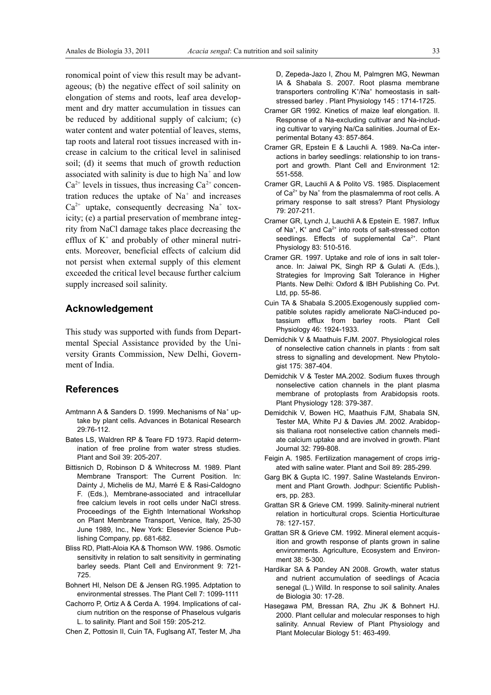ronomical point of view this result may be advantageous; (b) the negative effect of soil salinity on elongation of stems and roots, leaf area development and dry matter accumulation in tissues can be reduced by additional supply of calcium; (c) water content and water potential of leaves, stems, tap roots and lateral root tissues increased with increase in calcium to the critical level in salinised soil; (d) it seems that much of growth reduction associated with salinity is due to high  $Na<sup>+</sup>$  and low  $Ca^{2+}$  levels in tissues, thus increasing  $Ca^{2+}$  concentration reduces the uptake of  $Na<sup>+</sup>$  and increases  $Ca^{2+}$  uptake, consequently decreasing Na<sup>+</sup> toxicity; (e) a partial preservation of membrane integrity from NaCl damage takes place decreasing the efflux of  $K^+$  and probably of other mineral nutrients. Moreover, beneficial effects of calcium did not persist when external supply of this element exceeded the critical level because further calcium supply increased soil salinity.

#### **Acknowledgement**

This study was supported with funds from Departmental Special Assistance provided by the University Grants Commission, New Delhi, Government of India.

# **References**

- Amtmann A & Sanders D. 1999. Mechanisms of Na<sup>+</sup> uptake by plant cells. Advances in Botanical Research 29:76-112.
- Bates LS, Waldren RP & Teare FD 1973. Rapid determination of free proline from water stress studies. Plant and Soil 39: 205-207.
- Bittisnich D, Robinson D & Whitecross M. 1989. Plant Membrane Transport: The Current Position. In: Dainty J, Michelis de MJ, Marré E & Rasi-Caldogno F. (Eds.), Membrane-associated and intracellular free calcium levels in root cells under NaCl stress. Proceedings of the Eighth International Workshop on Plant Membrane Transport, Venice, Italy, 25-30 June 1989, Inc., New York: Elesevier Science Publishing Company, pp. 681-682.
- Bliss RD, Platt-Aloia KA & Thomson WW. 1986. Osmotic sensitivity in relation to salt sensitivity in germinating barley seeds. Plant Cell and Environment 9: 721- 725.
- Bohnert HI, Nelson DE & Jensen RG.1995. Adptation to environmental stresses. The Plant Cell 7: 1099-1111
- Cachorro P, Ortiz A & Cerda A. 1994. Implications of calcium nutrition on the response of Phaselous vulgaris L. to salinity. Plant and Soil 159: 205-212.
- Chen Z, Pottosin II, Cuin TA, Fuglsang AT, Tester M, Jha

D, Zepeda-Jazo I, Zhou M, Palmgren MG, Newman IA & Shabala S. 2007. Root plasma membrane transporters controlling K<sup>+</sup>/Na<sup>+</sup> homeostasis in saltstressed barley . Plant Physiology 145 : 1714-1725.

- Cramer GR 1992. Kinetics of maize leaf elongation. II. Response of a Na-excluding cultivar and Na-including cultivar to varying Na/Ca salinities. Journal of Experimental Botany 43: 857-864.
- Cramer GR, Epstein E & Lauchli A. 1989. Na-Ca interactions in barley seedlings: relationship to ion transport and growth. Plant Cell and Environment 12: 551-558.
- Cramer GR, Lauchli A & Polito VS. 1985. Displacement of Ca<sup>2+</sup> by Na<sup>+</sup> from the plasmalemma of root cells. A primary response to salt stress? Plant Physiology 79: 207-211.
- Cramer GR, Lynch J, Lauchli A & Epstein E. 1987. Influx of Na<sup>+</sup>, K<sup>+</sup> and Ca<sup>2+</sup> into roots of salt-stressed cotton seedlings. Effects of supplemental Ca<sup>2+</sup>. Plant Physiology 83: 510-516.
- Cramer GR. 1997. Uptake and role of ions in salt tolerance. In: Jaiwal PK, Singh RP & Gulati A. (Eds.), Strategies for Improving Salt Tolerance in Higher Plants. New Delhi: Oxford & IBH Publishing Co. Pvt. Ltd, pp. 55-86.
- Cuin TA & Shabala S.2005.Exogenously supplied compatible solutes rapidly ameliorate NaCl-induced potassium efflux from barley roots. Plant Cell Physiology 46: 1924-1933.
- Demidchik V & Maathuis FJM. 2007. Physiological roles of nonselective cation channels in plants : from salt stress to signalling and development. New Phytologist 175: 387-404.
- Demidchik V & Tester MA.2002. Sodium fluxes through nonselective cation channels in the plant plasma membrane of protoplasts from Arabidopsis roots. Plant Physiology 128: 379-387.
- Demidchik V, Bowen HC, Maathuis FJM, Shabala SN, Tester MA, White PJ & Davies JM. 2002. Arabidopsis thaliana root nonselective cation channels mediate calcium uptake and are involved in growth. Plant Journal 32: 799-808.
- Feigin A. 1985. Fertilization management of crops irrigated with saline water. Plant and Soil 89: 285-299.
- Garg BK & Gupta IC. 1997. Saline Wastelands Environment and Plant Growth. Jodhpur: Scientific Publishers, pp. 283.
- Grattan SR & Grieve CM. 1999. Salinity-mineral nutrient relation in horticultural crops. Scientia Horticulturae 78: 127-157.
- Grattan SR & Grieve CM. 1992. Mineral element acquisition and growth response of plants grown in saline environments. Agriculture, Ecosystem and Environment 38: 5-300.
- Hardikar SA & Pandey AN 2008. Growth, water status and nutrient accumulation of seedlings of Acacia senegal (L.) Willd. In response to soil salinity. Anales de Biologia 30: 17-28.
- Hasegawa PM, Bressan RA, Zhu JK & Bohnert HJ. 2000. Plant cellular and molecular responses to high salinity. Annual Review of Plant Physiology and Plant Molecular Biology 51: 463-499.